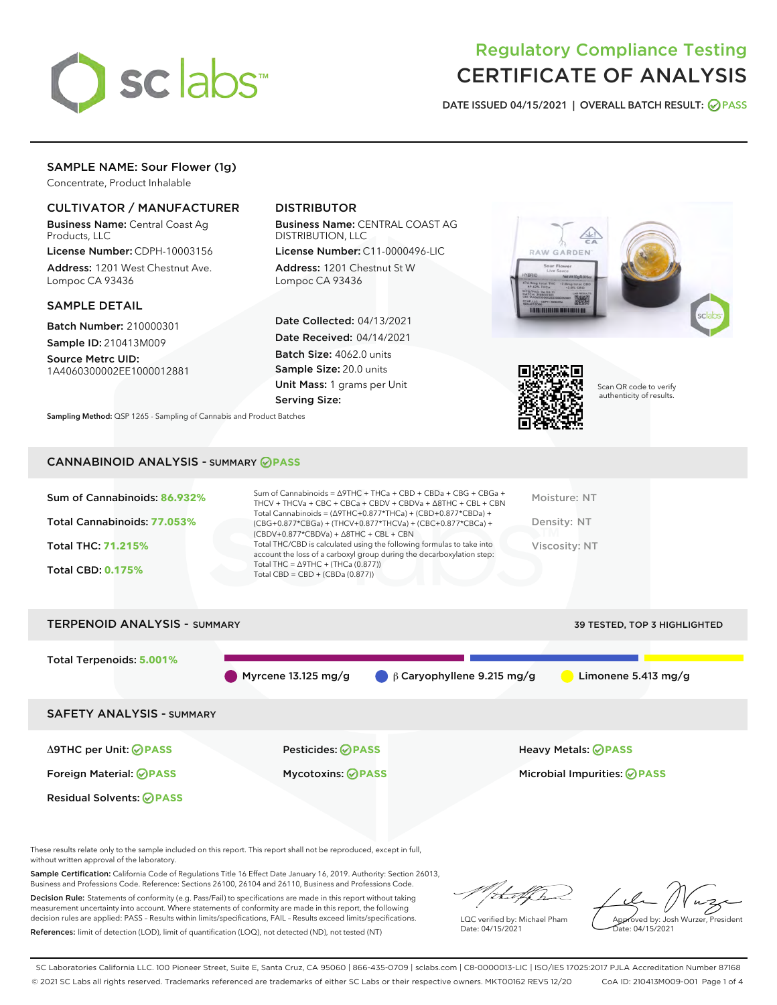

# Regulatory Compliance Testing CERTIFICATE OF ANALYSIS

DATE ISSUED 04/15/2021 | OVERALL BATCH RESULT: @ PASS

# SAMPLE NAME: Sour Flower (1g)

Concentrate, Product Inhalable

# CULTIVATOR / MANUFACTURER

Business Name: Central Coast Ag Products, LLC

License Number: CDPH-10003156 Address: 1201 West Chestnut Ave. Lompoc CA 93436

## SAMPLE DETAIL

Batch Number: 210000301 Sample ID: 210413M009

Source Metrc UID: 1A4060300002EE1000012881

# DISTRIBUTOR

Business Name: CENTRAL COAST AG DISTRIBUTION, LLC

License Number: C11-0000496-LIC Address: 1201 Chestnut St W Lompoc CA 93436

Date Collected: 04/13/2021 Date Received: 04/14/2021 Batch Size: 4062.0 units Sample Size: 20.0 units Unit Mass: 1 grams per Unit Serving Size:





Scan QR code to verify authenticity of results.

Sampling Method: QSP 1265 - Sampling of Cannabis and Product Batches

# CANNABINOID ANALYSIS - SUMMARY **PASS**

| Sum of Cannabinoids: 86.932% | Sum of Cannabinoids = Δ9THC + THCa + CBD + CBDa + CBG + CBGa +<br>THCV + THCVa + CBC + CBCa + CBDV + CBDVa + $\Delta$ 8THC + CBL + CBN                                               | Moisture: NT  |
|------------------------------|--------------------------------------------------------------------------------------------------------------------------------------------------------------------------------------|---------------|
| Total Cannabinoids: 77.053%  | Total Cannabinoids = $(\Delta 9THC+0.877*THCa) + (CBD+0.877*CBDa) +$<br>(CBG+0.877*CBGa) + (THCV+0.877*THCVa) + (CBC+0.877*CBCa) +<br>$(CBDV+0.877*CBDVa) + \Delta 8THC + CBL + CBN$ | Density: NT   |
| <b>Total THC: 71.215%</b>    | Total THC/CBD is calculated using the following formulas to take into<br>account the loss of a carboxyl group during the decarboxylation step:                                       | Viscosity: NT |
| <b>Total CBD: 0.175%</b>     | Total THC = $\triangle$ 9THC + (THCa (0.877))<br>Total CBD = CBD + (CBDa $(0.877)$ )                                                                                                 |               |
|                              |                                                                                                                                                                                      |               |

# TERPENOID ANALYSIS - SUMMARY 39 TESTED, TOP 3 HIGHLIGHTED Total Terpenoids: **5.001%** Myrcene 13.125 mg/g  $\qquad \beta$  Caryophyllene 9.215 mg/g Limonene 5.413 mg/g SAFETY ANALYSIS - SUMMARY Δ9THC per Unit: **PASS** Pesticides: **PASS** Heavy Metals: **PASS** Foreign Material: **PASS** Mycotoxins: **PASS** Microbial Impurities: **PASS** Residual Solvents: **PASS**

These results relate only to the sample included on this report. This report shall not be reproduced, except in full, without written approval of the laboratory.

Sample Certification: California Code of Regulations Title 16 Effect Date January 16, 2019. Authority: Section 26013, Business and Professions Code. Reference: Sections 26100, 26104 and 26110, Business and Professions Code.

Decision Rule: Statements of conformity (e.g. Pass/Fail) to specifications are made in this report without taking measurement uncertainty into account. Where statements of conformity are made in this report, the following decision rules are applied: PASS – Results within limits/specifications, FAIL – Results exceed limits/specifications. References: limit of detection (LOD), limit of quantification (LOQ), not detected (ND), not tested (NT)

that f(ha

LQC verified by: Michael Pham Date: 04/15/2021

Approved by: Josh Wurzer, President ate: 04/15/2021

SC Laboratories California LLC. 100 Pioneer Street, Suite E, Santa Cruz, CA 95060 | 866-435-0709 | sclabs.com | C8-0000013-LIC | ISO/IES 17025:2017 PJLA Accreditation Number 87168 © 2021 SC Labs all rights reserved. Trademarks referenced are trademarks of either SC Labs or their respective owners. MKT00162 REV5 12/20 CoA ID: 210413M009-001 Page 1 of 4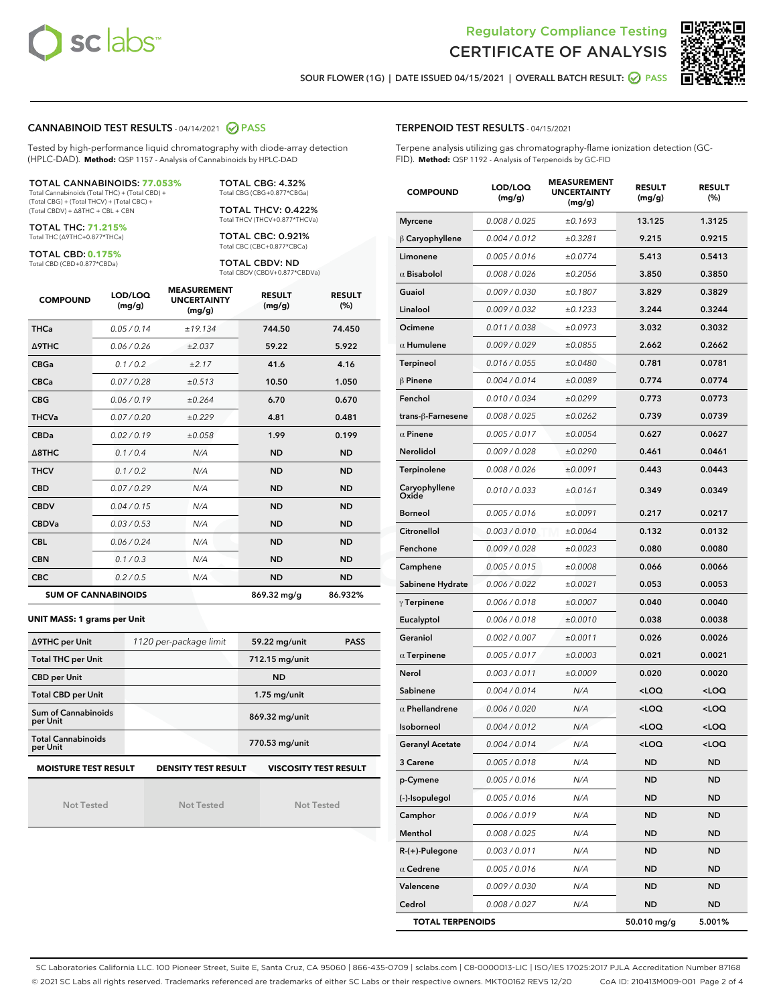



SOUR FLOWER (1G) | DATE ISSUED 04/15/2021 | OVERALL BATCH RESULT: @ PASS

### CANNABINOID TEST RESULTS - 04/14/2021 2 PASS

Tested by high-performance liquid chromatography with diode-array detection (HPLC-DAD). **Method:** QSP 1157 - Analysis of Cannabinoids by HPLC-DAD

TOTAL CANNABINOIDS: **77.053%** Total Cannabinoids (Total THC) + (Total CBD) +

(Total CBG) + (Total THCV) + (Total CBC) + (Total CBDV) + ∆8THC + CBL + CBN

TOTAL THC: **71.215%** Total THC (∆9THC+0.877\*THCa)

TOTAL CBD: **0.175%**

Total CBD (CBD+0.877\*CBDa)

TOTAL CBG: 4.32% Total CBG (CBG+0.877\*CBGa)

TOTAL THCV: 0.422% Total THCV (THCV+0.877\*THCVa)

TOTAL CBC: 0.921% Total CBC (CBC+0.877\*CBCa)

TOTAL CBDV: ND Total CBDV (CBDV+0.877\*CBDVa)

| <b>COMPOUND</b> | LOD/LOQ<br>(mg/g)          | <b>MEASUREMENT</b><br><b>UNCERTAINTY</b><br>(mg/g) | <b>RESULT</b><br>(mg/g) | <b>RESULT</b><br>(%) |
|-----------------|----------------------------|----------------------------------------------------|-------------------------|----------------------|
| <b>THCa</b>     | 0.05 / 0.14                | ±19.134                                            | 744.50                  | 74.450               |
| <b>A9THC</b>    | 0.06 / 0.26                | ±2.037                                             | 59.22                   | 5.922                |
| <b>CBGa</b>     | 0.1 / 0.2                  | ±2.17                                              | 41.6                    | 4.16                 |
| <b>CBCa</b>     | 0.07/0.28                  | ±0.513                                             | 10.50                   | 1.050                |
| <b>CBG</b>      | 0.06/0.19                  | ±0.264                                             | 6.70                    | 0.670                |
| <b>THCVa</b>    | 0.07/0.20                  | ±0.229                                             | 4.81                    | 0.481                |
| <b>CBDa</b>     | 0.02/0.19                  | ±0.058                                             | 1.99                    | 0.199                |
| A8THC           | 0.1/0.4                    | N/A                                                | <b>ND</b>               | <b>ND</b>            |
| <b>THCV</b>     | 0.1/0.2                    | N/A                                                | <b>ND</b>               | <b>ND</b>            |
| <b>CBD</b>      | 0.07/0.29                  | N/A                                                | <b>ND</b>               | <b>ND</b>            |
| <b>CBDV</b>     | 0.04 / 0.15                | N/A                                                | <b>ND</b>               | <b>ND</b>            |
| <b>CBDVa</b>    | 0.03/0.53                  | N/A                                                | <b>ND</b>               | <b>ND</b>            |
| <b>CBL</b>      | 0.06 / 0.24                | N/A                                                | <b>ND</b>               | <b>ND</b>            |
| <b>CBN</b>      | 0.1/0.3                    | N/A                                                | <b>ND</b>               | <b>ND</b>            |
| <b>CBC</b>      | 0.2 / 0.5                  | N/A                                                | <b>ND</b>               | <b>ND</b>            |
|                 | <b>SUM OF CANNABINOIDS</b> |                                                    | 869.32 mg/g             | 86.932%              |

**UNIT MASS: 1 grams per Unit**

| ∆9THC per Unit                                                                            | 1120 per-package limit | 59.22 mg/unit<br><b>PASS</b> |  |  |  |
|-------------------------------------------------------------------------------------------|------------------------|------------------------------|--|--|--|
| <b>Total THC per Unit</b>                                                                 |                        | 712.15 mg/unit               |  |  |  |
| <b>CBD per Unit</b>                                                                       |                        | <b>ND</b>                    |  |  |  |
| <b>Total CBD per Unit</b>                                                                 |                        | $1.75$ mg/unit               |  |  |  |
| Sum of Cannabinoids<br>per Unit                                                           |                        | 869.32 mg/unit               |  |  |  |
| <b>Total Cannabinoids</b><br>per Unit                                                     |                        | 770.53 mg/unit               |  |  |  |
| <b>MOISTURE TEST RESULT</b><br><b>VISCOSITY TEST RESULT</b><br><b>DENSITY TEST RESULT</b> |                        |                              |  |  |  |

Not Tested

Not Tested

Not Tested

## TERPENOID TEST RESULTS - 04/15/2021

Terpene analysis utilizing gas chromatography-flame ionization detection (GC-FID). **Method:** QSP 1192 - Analysis of Terpenoids by GC-FID

| <b>COMPOUND</b>         | LOD/LOQ<br>(mg/g) | <b>MEASUREMENT</b><br><b>UNCERTAINTY</b><br>(mg/g) | <b>RESULT</b><br>(mg/g)                         | <b>RESULT</b><br>$(\%)$ |
|-------------------------|-------------------|----------------------------------------------------|-------------------------------------------------|-------------------------|
| <b>Myrcene</b>          | 0.008 / 0.025     | ±0.1693                                            | 13.125                                          | 1.3125                  |
| $\beta$ Caryophyllene   | 0.004 / 0.012     | ±0.3281                                            | 9.215                                           | 0.9215                  |
| Limonene                | 0.005 / 0.016     | ±0.0774                                            | 5.413                                           | 0.5413                  |
| $\alpha$ Bisabolol      | 0.008 / 0.026     | ±0.2056                                            | 3.850                                           | 0.3850                  |
| Guaiol                  | 0.009 / 0.030     | ±0.1807                                            | 3.829                                           | 0.3829                  |
| Linalool                | 0.009/0.032       | ±0.1233                                            | 3.244                                           | 0.3244                  |
| Ocimene                 | 0.011 / 0.038     | ±0.0973                                            | 3.032                                           | 0.3032                  |
| $\alpha$ Humulene       | 0.009 / 0.029     | ±0.0855                                            | 2.662                                           | 0.2662                  |
| Terpineol               | 0.016 / 0.055     | ±0.0480                                            | 0.781                                           | 0.0781                  |
| $\beta$ Pinene          | 0.004 / 0.014     | ±0.0089                                            | 0.774                                           | 0.0774                  |
| Fenchol                 | 0.010 / 0.034     | ±0.0299                                            | 0.773                                           | 0.0773                  |
| trans-ß-Farnesene       | 0.008 / 0.025     | ±0.0262                                            | 0.739                                           | 0.0739                  |
| $\alpha$ Pinene         | 0.005 / 0.017     | ±0.0054                                            | 0.627                                           | 0.0627                  |
| Nerolidol               | 0.009 / 0.028     | ±0.0290                                            | 0.461                                           | 0.0461                  |
| Terpinolene             | 0.008 / 0.026     | ±0.0091                                            | 0.443                                           | 0.0443                  |
| Caryophyllene<br>Oxide  | 0.010 / 0.033     | ±0.0161                                            | 0.349                                           | 0.0349                  |
| <b>Borneol</b>          | 0.005 / 0.016     | ±0.0091                                            | 0.217                                           | 0.0217                  |
| <b>Citronellol</b>      | 0.003 / 0.010     | ±0.0064                                            | 0.132                                           | 0.0132                  |
| Fenchone                | 0.009 / 0.028     | ±0.0023                                            | 0.080                                           | 0.0080                  |
| Camphene                | 0.005 / 0.015     | ±0.0008                                            | 0.066                                           | 0.0066                  |
| Sabinene Hydrate        | 0.006 / 0.022     | ±0.0021                                            | 0.053                                           | 0.0053                  |
| $\gamma$ Terpinene      | 0.006 / 0.018     | ±0.0007                                            | 0.040                                           | 0.0040                  |
| Eucalyptol              | 0.006 / 0.018     | ±0.0010                                            | 0.038                                           | 0.0038                  |
| Geraniol                | 0.002 / 0.007     | ±0.0011                                            | 0.026                                           | 0.0026                  |
| $\alpha$ Terpinene      | 0.005 / 0.017     | ±0.0003                                            | 0.021                                           | 0.0021                  |
| Nerol                   | 0.003 / 0.011     | ±0.0009                                            | 0.020                                           | 0.0020                  |
| Sabinene                | 0.004/0.014       | N/A                                                | <loq< th=""><th><loq< th=""></loq<></th></loq<> | <loq< th=""></loq<>     |
| $\alpha$ Phellandrene   | 0.006 / 0.020     | N/A                                                | <loq< th=""><th><loq< th=""></loq<></th></loq<> | <loq< th=""></loq<>     |
| Isoborneol              | 0.004 / 0.012     | N/A                                                | <loq< th=""><th><loq< th=""></loq<></th></loq<> | <loq< th=""></loq<>     |
| <b>Geranyl Acetate</b>  | 0.004 / 0.014     | N/A                                                | $\sim$ 00                                       | $\sim$ 0.0              |
| 3 Carene                | 0.005 / 0.018     | N/A                                                | <b>ND</b>                                       | <b>ND</b>               |
| p-Cymene                | 0.005 / 0.016     | N/A                                                | <b>ND</b>                                       | ND                      |
| (-)-Isopulegol          | 0.005 / 0.016     | N/A                                                | ND                                              | ND                      |
| Camphor                 | 0.006 / 0.019     | N/A                                                | <b>ND</b>                                       | ND                      |
| Menthol                 | 0.008 / 0.025     | N/A                                                | ND                                              | ND                      |
| $R-(+)$ -Pulegone       | 0.003 / 0.011     | N/A                                                | ND                                              | ND                      |
| $\alpha$ Cedrene        | 0.005 / 0.016     | N/A                                                | ND                                              | <b>ND</b>               |
| Valencene               | 0.009 / 0.030     | N/A                                                | ND                                              | ND                      |
| Cedrol                  | 0.008 / 0.027     | N/A                                                | ND                                              | ND                      |
| <b>TOTAL TERPENOIDS</b> |                   |                                                    | 50.010 mg/g                                     | 5.001%                  |

SC Laboratories California LLC. 100 Pioneer Street, Suite E, Santa Cruz, CA 95060 | 866-435-0709 | sclabs.com | C8-0000013-LIC | ISO/IES 17025:2017 PJLA Accreditation Number 87168 © 2021 SC Labs all rights reserved. Trademarks referenced are trademarks of either SC Labs or their respective owners. MKT00162 REV5 12/20 CoA ID: 210413M009-001 Page 2 of 4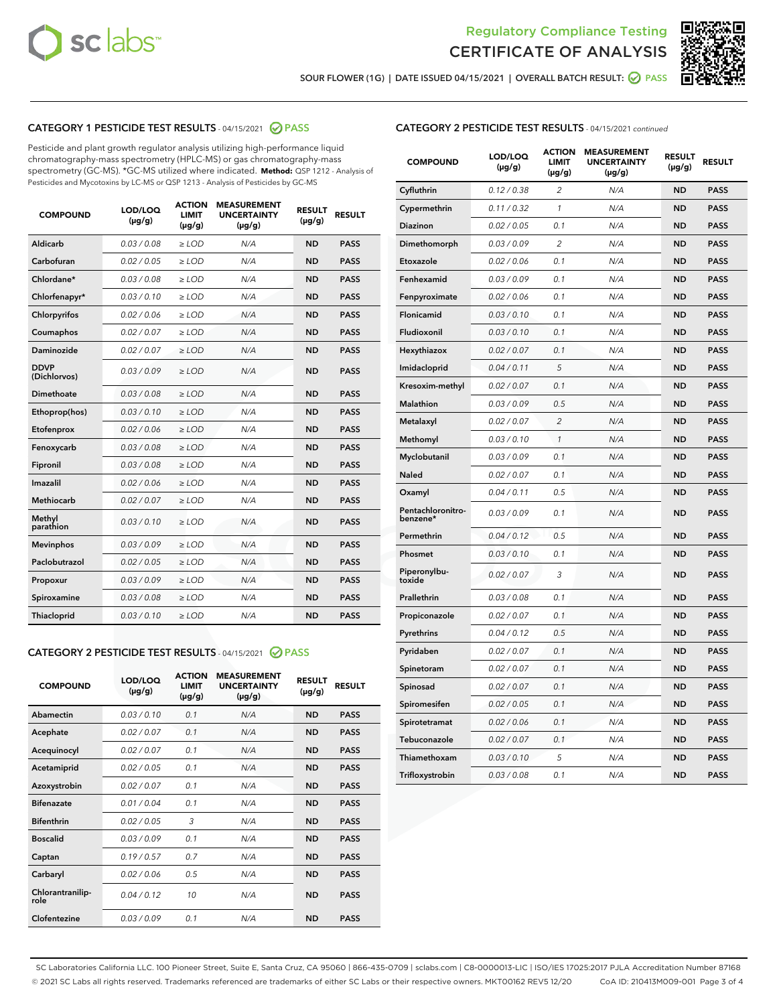



SOUR FLOWER (1G) | DATE ISSUED 04/15/2021 | OVERALL BATCH RESULT:  $\bigcirc$  PASS

# CATEGORY 1 PESTICIDE TEST RESULTS - 04/15/2021 2 PASS

Pesticide and plant growth regulator analysis utilizing high-performance liquid chromatography-mass spectrometry (HPLC-MS) or gas chromatography-mass spectrometry (GC-MS). \*GC-MS utilized where indicated. **Method:** QSP 1212 - Analysis of Pesticides and Mycotoxins by LC-MS or QSP 1213 - Analysis of Pesticides by GC-MS

| <b>COMPOUND</b>             | LOD/LOQ<br>$(\mu g/g)$ | <b>ACTION</b><br><b>LIMIT</b><br>$(\mu g/g)$ | <b>MEASUREMENT</b><br><b>UNCERTAINTY</b><br>$(\mu g/g)$ | <b>RESULT</b><br>$(\mu g/g)$ | <b>RESULT</b> |
|-----------------------------|------------------------|----------------------------------------------|---------------------------------------------------------|------------------------------|---------------|
| Aldicarb                    | 0.03 / 0.08            | $\ge$ LOD                                    | N/A                                                     | <b>ND</b>                    | <b>PASS</b>   |
| Carbofuran                  | 0.02/0.05              | $\ge$ LOD                                    | N/A                                                     | <b>ND</b>                    | <b>PASS</b>   |
| Chlordane*                  | 0.03 / 0.08            | $>$ LOD                                      | N/A                                                     | <b>ND</b>                    | <b>PASS</b>   |
| Chlorfenapyr*               | 0.03/0.10              | $>$ LOD                                      | N/A                                                     | <b>ND</b>                    | <b>PASS</b>   |
| Chlorpyrifos                | 0.02 / 0.06            | $\geq$ LOD                                   | N/A                                                     | <b>ND</b>                    | <b>PASS</b>   |
| Coumaphos                   | 0.02 / 0.07            | $\ge$ LOD                                    | N/A                                                     | <b>ND</b>                    | <b>PASS</b>   |
| Daminozide                  | 0.02 / 0.07            | $\ge$ LOD                                    | N/A                                                     | <b>ND</b>                    | <b>PASS</b>   |
| <b>DDVP</b><br>(Dichlorvos) | 0.03/0.09              | $\ge$ LOD                                    | N/A                                                     | <b>ND</b>                    | <b>PASS</b>   |
| Dimethoate                  | 0.03 / 0.08            | $\ge$ LOD                                    | N/A                                                     | <b>ND</b>                    | <b>PASS</b>   |
| Ethoprop(hos)               | 0.03/0.10              | $>$ LOD                                      | N/A                                                     | <b>ND</b>                    | <b>PASS</b>   |
| Etofenprox                  | 0.02 / 0.06            | $\ge$ LOD                                    | N/A                                                     | <b>ND</b>                    | <b>PASS</b>   |
| Fenoxycarb                  | 0.03 / 0.08            | $\ge$ LOD                                    | N/A                                                     | <b>ND</b>                    | <b>PASS</b>   |
| Fipronil                    | 0.03 / 0.08            | $\ge$ LOD                                    | N/A                                                     | <b>ND</b>                    | <b>PASS</b>   |
| Imazalil                    | 0.02 / 0.06            | $>$ LOD                                      | N/A                                                     | <b>ND</b>                    | <b>PASS</b>   |
| Methiocarb                  | 0.02 / 0.07            | $\ge$ LOD                                    | N/A                                                     | <b>ND</b>                    | <b>PASS</b>   |
| Methyl<br>parathion         | 0.03/0.10              | $\ge$ LOD                                    | N/A                                                     | <b>ND</b>                    | <b>PASS</b>   |
| <b>Mevinphos</b>            | 0.03/0.09              | $\ge$ LOD                                    | N/A                                                     | <b>ND</b>                    | <b>PASS</b>   |
| Paclobutrazol               | 0.02 / 0.05            | $\ge$ LOD                                    | N/A                                                     | <b>ND</b>                    | <b>PASS</b>   |
| Propoxur                    | 0.03/0.09              | $\ge$ LOD                                    | N/A                                                     | <b>ND</b>                    | <b>PASS</b>   |
| Spiroxamine                 | 0.03 / 0.08            | $\ge$ LOD                                    | N/A                                                     | <b>ND</b>                    | <b>PASS</b>   |
| Thiacloprid                 | 0.03/0.10              | $\ge$ LOD                                    | N/A                                                     | <b>ND</b>                    | <b>PASS</b>   |

#### CATEGORY 2 PESTICIDE TEST RESULTS - 04/15/2021 @ PASS

| <b>COMPOUND</b>          | LOD/LOO<br>$(\mu g/g)$ | <b>ACTION</b><br>LIMIT<br>$(\mu g/g)$ | <b>MEASUREMENT</b><br><b>UNCERTAINTY</b><br>$(\mu g/g)$ | <b>RESULT</b><br>$(\mu g/g)$ | <b>RESULT</b> |  |
|--------------------------|------------------------|---------------------------------------|---------------------------------------------------------|------------------------------|---------------|--|
| Abamectin                | 0.03/0.10              | 0.1                                   | N/A                                                     | <b>ND</b>                    | <b>PASS</b>   |  |
| Acephate                 | 0.02/0.07              | 0.1                                   | N/A                                                     | <b>ND</b>                    | <b>PASS</b>   |  |
| Acequinocyl              | 0.02/0.07              | 0.1                                   | N/A                                                     | <b>ND</b>                    | <b>PASS</b>   |  |
| Acetamiprid              | 0.02 / 0.05            | 0.1                                   | N/A                                                     | <b>ND</b>                    | <b>PASS</b>   |  |
| Azoxystrobin             | 0.02/0.07              | 0.1                                   | N/A                                                     | <b>ND</b>                    | <b>PASS</b>   |  |
| <b>Bifenazate</b>        | 0.01 / 0.04            | 0.1                                   | N/A                                                     | <b>ND</b>                    | <b>PASS</b>   |  |
| <b>Bifenthrin</b>        | 0.02 / 0.05            | 3                                     | N/A                                                     | <b>ND</b>                    | <b>PASS</b>   |  |
| <b>Boscalid</b>          | 0.03/0.09              | 0.1                                   | N/A                                                     | <b>ND</b>                    | <b>PASS</b>   |  |
| Captan                   | 0.19/0.57              | 0.7                                   | N/A                                                     | <b>ND</b>                    | <b>PASS</b>   |  |
| Carbaryl                 | 0.02/0.06              | 0.5                                   | N/A                                                     | <b>ND</b>                    | <b>PASS</b>   |  |
| Chlorantranilip-<br>role | 0.04/0.12              | 10                                    | N/A                                                     | <b>ND</b>                    | <b>PASS</b>   |  |
| Clofentezine             | 0.03/0.09              | 0.1                                   | N/A                                                     | <b>ND</b>                    | <b>PASS</b>   |  |

| <b>COMPOUND</b>               | LOD/LOQ<br>(µg/g) | <b>ACTION</b><br>LIMIT<br>$(\mu g/g)$ | <b>MEASUREMENT</b><br><b>UNCERTAINTY</b><br>$(\mu g/g)$ | <b>RESULT</b><br>(µg/g) | <b>RESULT</b> |
|-------------------------------|-------------------|---------------------------------------|---------------------------------------------------------|-------------------------|---------------|
| Cyfluthrin                    | 0.12 / 0.38       | 2                                     | N/A                                                     | ND                      | <b>PASS</b>   |
| Cypermethrin                  | 0.11 / 0.32       | 1                                     | N/A                                                     | ND                      | <b>PASS</b>   |
| Diazinon                      | 0.02 / 0.05       | 0.1                                   | N/A                                                     | ND                      | <b>PASS</b>   |
| Dimethomorph                  | 0.03 / 0.09       | 2                                     | N/A                                                     | ND                      | <b>PASS</b>   |
| Etoxazole                     | 0.02 / 0.06       | 0.1                                   | N/A                                                     | ND                      | <b>PASS</b>   |
| Fenhexamid                    | 0.03 / 0.09       | 0.1                                   | N/A                                                     | ND                      | <b>PASS</b>   |
| Fenpyroximate                 | 0.02 / 0.06       | 0.1                                   | N/A                                                     | <b>ND</b>               | <b>PASS</b>   |
| Flonicamid                    | 0.03 / 0.10       | 0.1                                   | N/A                                                     | <b>ND</b>               | <b>PASS</b>   |
| Fludioxonil                   | 0.03 / 0.10       | 0.1                                   | N/A                                                     | ND                      | <b>PASS</b>   |
| Hexythiazox                   | 0.02 / 0.07       | 0.1                                   | N/A                                                     | <b>ND</b>               | <b>PASS</b>   |
| Imidacloprid                  | 0.04 / 0.11       | 5                                     | N/A                                                     | ND                      | <b>PASS</b>   |
| Kresoxim-methyl               | 0.02 / 0.07       | 0.1                                   | N/A                                                     | ND                      | <b>PASS</b>   |
| Malathion                     | 0.03 / 0.09       | 0.5                                   | N/A                                                     | <b>ND</b>               | <b>PASS</b>   |
| Metalaxyl                     | 0.02 / 0.07       | $\overline{2}$                        | N/A                                                     | <b>ND</b>               | <b>PASS</b>   |
| Methomyl                      | 0.03 / 0.10       | $\mathcal{I}$                         | N/A                                                     | ND                      | <b>PASS</b>   |
| Myclobutanil                  | 0.03 / 0.09       | 0.1                                   | N/A                                                     | <b>ND</b>               | <b>PASS</b>   |
| <b>Naled</b>                  | 0.02 / 0.07       | 0.1                                   | N/A                                                     | ND                      | <b>PASS</b>   |
| Oxamyl                        | 0.04 / 0.11       | 0.5                                   | N/A                                                     | ND                      | <b>PASS</b>   |
| Pentachloronitro-<br>benzene* | 0.03 / 0.09       | 0.1                                   | N/A                                                     | ND                      | <b>PASS</b>   |
| Permethrin                    | 0.04 / 0.12       | 0.5                                   | N/A                                                     | ND                      | <b>PASS</b>   |
| Phosmet                       | 0.03 / 0.10       | 0.1                                   | N/A                                                     | ND                      | <b>PASS</b>   |
| Piperonylbu-<br>toxide        | 0.02 / 0.07       | 3                                     | N/A                                                     | <b>ND</b>               | <b>PASS</b>   |
| Prallethrin                   | 0.03 / 0.08       | 0.1                                   | N/A                                                     | ND                      | <b>PASS</b>   |
| Propiconazole                 | 0.02 / 0.07       | 0.1                                   | N/A                                                     | <b>ND</b>               | <b>PASS</b>   |
| Pyrethrins                    | 0.04 / 0.12       | 0.5                                   | N/A                                                     | <b>ND</b>               | <b>PASS</b>   |
| Pyridaben                     | 0.02 / 0.07       | 0.1                                   | N/A                                                     | ND                      | <b>PASS</b>   |
| Spinetoram                    | 0.02 / 0.07       | 0.1                                   | N/A                                                     | ND                      | <b>PASS</b>   |
| Spinosad                      | 0.02 / 0.07       | 0.1                                   | N/A                                                     | ND                      | <b>PASS</b>   |
| Spiromesifen                  | 0.02 / 0.05       | 0.1                                   | N/A                                                     | ND                      | <b>PASS</b>   |
| Spirotetramat                 | 0.02 / 0.06       | 0.1                                   | N/A                                                     | <b>ND</b>               | <b>PASS</b>   |
| Tebuconazole                  | 0.02 / 0.07       | 0.1                                   | N/A                                                     | ND                      | <b>PASS</b>   |
| Thiamethoxam                  | 0.03 / 0.10       | 5                                     | N/A                                                     | ND                      | <b>PASS</b>   |
| Trifloxystrobin               | 0.03 / 0.08       | 0.1                                   | N/A                                                     | ND                      | <b>PASS</b>   |

SC Laboratories California LLC. 100 Pioneer Street, Suite E, Santa Cruz, CA 95060 | 866-435-0709 | sclabs.com | C8-0000013-LIC | ISO/IES 17025:2017 PJLA Accreditation Number 87168 © 2021 SC Labs all rights reserved. Trademarks referenced are trademarks of either SC Labs or their respective owners. MKT00162 REV5 12/20 CoA ID: 210413M009-001 Page 3 of 4